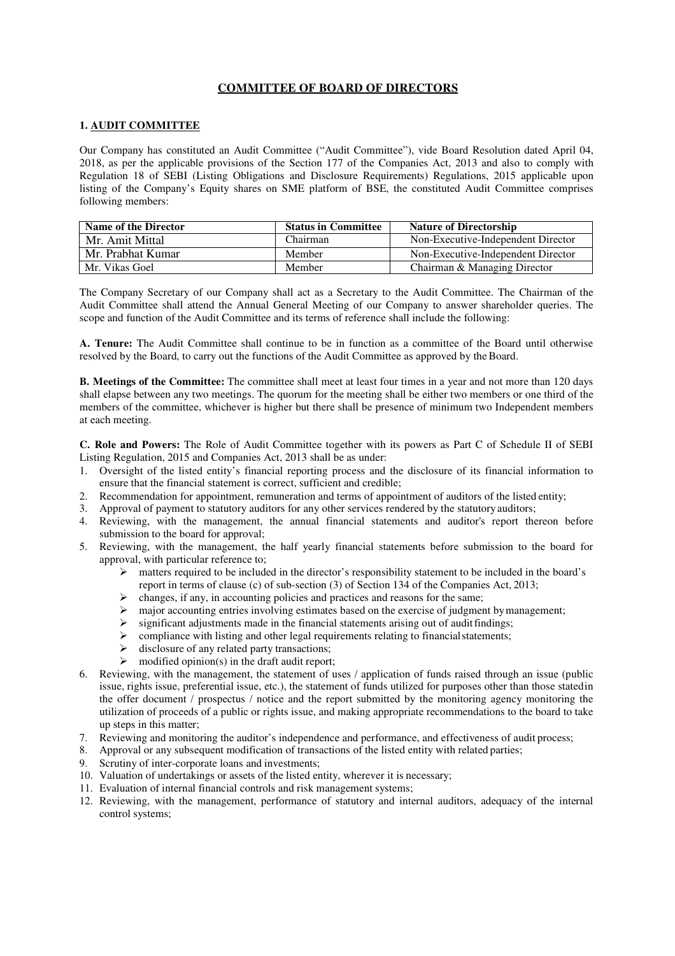#### **1. AUDIT COMMITTEE**

Our Company has constituted an Audit Committee ("Audit Committee"), vide Board Resolution dated April 04, 2018, as per the applicable provisions of the Section 177 of the Companies Act, 2013 and also to comply with Regulation 18 of SEBI (Listing Obligations and Disclosure Requirements) Regulations, 2015 applicable upon listing of the Company's Equity shares on SME platform of BSE, the constituted Audit Committee comprises following members:

| Name of the Director | <b>Status in Committee</b> | <b>Nature of Directorship</b>      |
|----------------------|----------------------------|------------------------------------|
| Mr. Amit Mittal      | Chairman                   | Non-Executive-Independent Director |
| Mr. Prabhat Kumar    | Member                     | Non-Executive-Independent Director |
| Mr. Vikas Goel       | Member                     | Chairman & Managing Director       |

The Company Secretary of our Company shall act as a Secretary to the Audit Committee. The Chairman of the Audit Committee shall attend the Annual General Meeting of our Company to answer shareholder queries. The scope and function of the Audit Committee and its terms of reference shall include the following:

**A. Tenure:** The Audit Committee shall continue to be in function as a committee of the Board until otherwise resolved by the Board, to carry out the functions of the Audit Committee as approved by the Board.

**B. Meetings of the Committee:** The committee shall meet at least four times in a year and not more than 120 days shall elapse between any two meetings. The quorum for the meeting shall be either two members or one third of the members of the committee, whichever is higher but there shall be presence of minimum two Independent members at each meeting.

**C. Role and Powers:** The Role of Audit Committee together with its powers as Part C of Schedule II of SEBI Listing Regulation, 2015 and Companies Act, 2013 shall be as under:

- 1. Oversight of the listed entity's financial reporting process and the disclosure of its financial information to ensure that the financial statement is correct, sufficient and credible;
- 2. Recommendation for appointment, remuneration and terms of appointment of auditors of the listed entity;
- 3. Approval of payment to statutory auditors for any other services rendered by the statutory auditors;
- 4. Reviewing, with the management, the annual financial statements and auditor's report thereon before submission to the board for approval;
- 5. Reviewing, with the management, the half yearly financial statements before submission to the board for approval, with particular reference to;
	- $\triangleright$  matters required to be included in the director's responsibility statement to be included in the board's report in terms of clause (c) of sub-section (3) of Section 134 of the Companies Act, 2013;
	- $\triangleright$  changes, if any, in accounting policies and practices and reasons for the same;
	- $\triangleright$  major accounting entries involving estimates based on the exercise of judgment by management;
	- $\triangleright$  significant adjustments made in the financial statements arising out of audit findings;
	- $\triangleright$  compliance with listing and other legal requirements relating to financial statements;
	- $\triangleright$  disclosure of any related party transactions;
	- $\triangleright$  modified opinion(s) in the draft audit report;
- 6. Reviewing, with the management, the statement of uses / application of funds raised through an issue (public issue, rights issue, preferential issue, etc.), the statement of funds utilized for purposes other than those stated in the offer document / prospectus / notice and the report submitted by the monitoring agency monitoring the utilization of proceeds of a public or rights issue, and making appropriate recommendations to the board to take up steps in this matter;
- 7. Reviewing and monitoring the auditor's independence and performance, and effectiveness of audit process;
- 8. Approval or any subsequent modification of transactions of the listed entity with related parties;
- 9. Scrutiny of inter-corporate loans and investments;
- 10. Valuation of undertakings or assets of the listed entity, wherever it is necessary;
- 11. Evaluation of internal financial controls and risk management systems;
- 12. Reviewing, with the management, performance of statutory and internal auditors, adequacy of the internal control systems;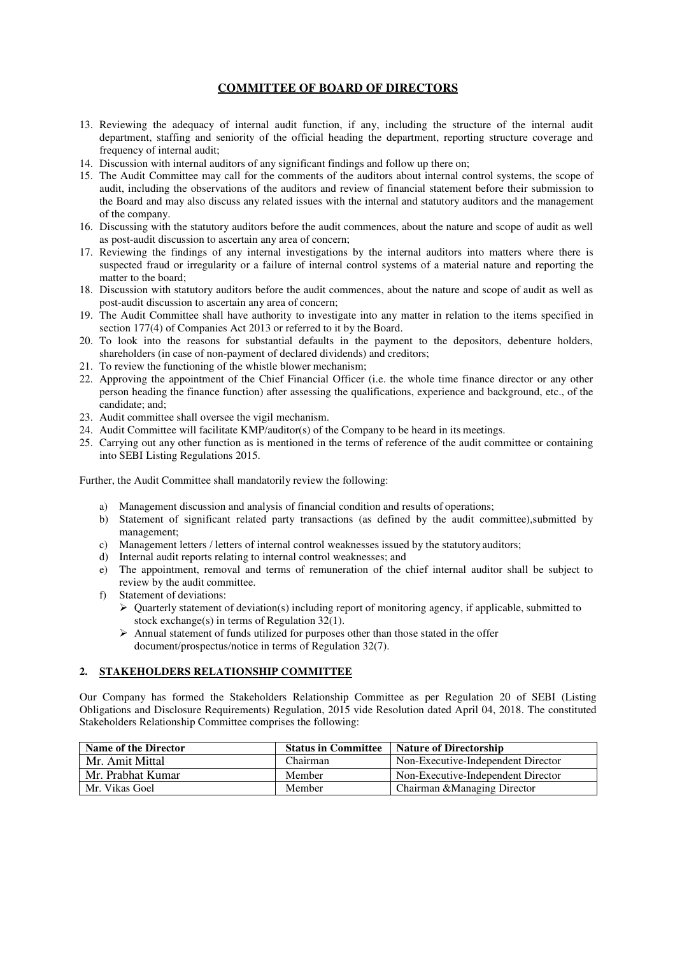- 13. Reviewing the adequacy of internal audit function, if any, including the structure of the internal audit department, staffing and seniority of the official heading the department, reporting structure coverage and frequency of internal audit;
- 14. Discussion with internal auditors of any significant findings and follow up there on;
- 15. The Audit Committee may call for the comments of the auditors about internal control systems, the scope of audit, including the observations of the auditors and review of financial statement before their submission to the Board and may also discuss any related issues with the internal and statutory auditors and the management of the company.
- 16. Discussing with the statutory auditors before the audit commences, about the nature and scope of audit as well as post-audit discussion to ascertain any area of concern;
- 17. Reviewing the findings of any internal investigations by the internal auditors into matters where there is suspected fraud or irregularity or a failure of internal control systems of a material nature and reporting the matter to the board;
- 18. Discussion with statutory auditors before the audit commences, about the nature and scope of audit as well as post-audit discussion to ascertain any area of concern;
- 19. The Audit Committee shall have authority to investigate into any matter in relation to the items specified in section 177(4) of Companies Act 2013 or referred to it by the Board.
- 20. To look into the reasons for substantial defaults in the payment to the depositors, debenture holders, shareholders (in case of non-payment of declared dividends) and creditors;
- 21. To review the functioning of the whistle blower mechanism;
- 22. Approving the appointment of the Chief Financial Officer (i.e. the whole time finance director or any other person heading the finance function) after assessing the qualifications, experience and background, etc., of the candidate; and;
- 23. Audit committee shall oversee the vigil mechanism.
- 24. Audit Committee will facilitate KMP/auditor(s) of the Company to be heard in its meetings.
- 25. Carrying out any other function as is mentioned in the terms of reference of the audit committee or containing into SEBI Listing Regulations 2015.

Further, the Audit Committee shall mandatorily review the following:

- a) Management discussion and analysis of financial condition and results of operations;
- b) Statement of significant related party transactions (as defined by the audit committee),submitted by management;
- c) Management letters / letters of internal control weaknesses issued by the statutory auditors;
- d) Internal audit reports relating to internal control weaknesses; and
- e) The appointment, removal and terms of remuneration of the chief internal auditor shall be subject to review by the audit committee.
- f) Statement of deviations:
	- $\triangleright$  Quarterly statement of deviation(s) including report of monitoring agency, if applicable, submitted to stock exchange(s) in terms of Regulation  $32(1)$ .
	- Annual statement of funds utilized for purposes other than those stated in the offer document/prospectus/notice in terms of Regulation 32(7).

#### **2. STAKEHOLDERS RELATIONSHIP COMMITTEE**

Our Company has formed the Stakeholders Relationship Committee as per Regulation 20 of SEBI (Listing Obligations and Disclosure Requirements) Regulation, 2015 vide Resolution dated April 04, 2018. The constituted Stakeholders Relationship Committee comprises the following:

| Name of the Director | <b>Status in Committee</b> | Nature of Directorship             |
|----------------------|----------------------------|------------------------------------|
| Mr. Amit Mittal      | Chairman                   | Non-Executive-Independent Director |
| Mr. Prabhat Kumar    | Member                     | Non-Executive-Independent Director |
| Mr. Vikas Goel       | Member                     | Chairman & Managing Director       |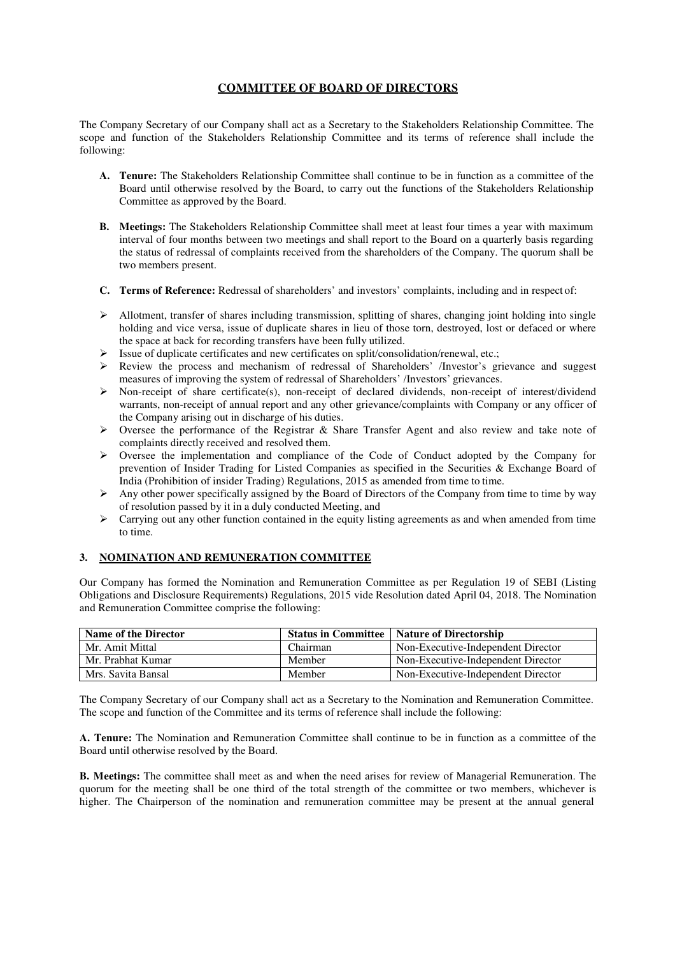The Company Secretary of our Company shall act as a Secretary to the Stakeholders Relationship Committee. The scope and function of the Stakeholders Relationship Committee and its terms of reference shall include the following:

- **A. Tenure:** The Stakeholders Relationship Committee shall continue to be in function as a committee of the Board until otherwise resolved by the Board, to carry out the functions of the Stakeholders Relationship Committee as approved by the Board.
- **B. Meetings:** The Stakeholders Relationship Committee shall meet at least four times a year with maximum interval of four months between two meetings and shall report to the Board on a quarterly basis regarding the status of redressal of complaints received from the shareholders of the Company. The quorum shall be two members present.
- **C. Terms of Reference:** Redressal of shareholders' and investors' complaints, including and in respect of:
- $\triangleright$  Allotment, transfer of shares including transmission, splitting of shares, changing joint holding into single holding and vice versa, issue of duplicate shares in lieu of those torn, destroyed, lost or defaced or where the space at back for recording transfers have been fully utilized.
- $\triangleright$  Issue of duplicate certificates and new certificates on split/consolidation/renewal, etc.;
- $\triangleright$  Review the process and mechanism of redressal of Shareholders' /Investor's grievance and suggest measures of improving the system of redressal of Shareholders' /Investors' grievances.
- $\triangleright$  Non-receipt of share certificate(s), non-receipt of declared dividends, non-receipt of interest/dividend warrants, non-receipt of annual report and any other grievance/complaints with Company or any officer of the Company arising out in discharge of his duties.
- $\geq$  Oversee the performance of the Registrar & Share Transfer Agent and also review and take note of complaints directly received and resolved them.
- $\triangleright$  Oversee the implementation and compliance of the Code of Conduct adopted by the Company for prevention of Insider Trading for Listed Companies as specified in the Securities & Exchange Board of India (Prohibition of insider Trading) Regulations, 2015 as amended from time to time.
- Any other power specifically assigned by the Board of Directors of the Company from time to time by way of resolution passed by it in a duly conducted Meeting, and
- $\triangleright$  Carrying out any other function contained in the equity listing agreements as and when amended from time to time.

### **3. NOMINATION AND REMUNERATION COMMITTEE**

Our Company has formed the Nomination and Remuneration Committee as per Regulation 19 of SEBI (Listing Obligations and Disclosure Requirements) Regulations, 2015 vide Resolution dated April 04, 2018. The Nomination and Remuneration Committee comprise the following:

| Name of the Director |          | <b>Status in Committee   Nature of Directorship</b> |
|----------------------|----------|-----------------------------------------------------|
| Mr. Amit Mittal      | Chairman | Non-Executive-Independent Director                  |
| Mr. Prabhat Kumar    | Member   | Non-Executive-Independent Director                  |
| Mrs. Savita Bansal   | Member   | Non-Executive-Independent Director                  |

The Company Secretary of our Company shall act as a Secretary to the Nomination and Remuneration Committee. The scope and function of the Committee and its terms of reference shall include the following:

**A. Tenure:** The Nomination and Remuneration Committee shall continue to be in function as a committee of the Board until otherwise resolved by the Board.

**B. Meetings:** The committee shall meet as and when the need arises for review of Managerial Remuneration. The quorum for the meeting shall be one third of the total strength of the committee or two members, whichever is higher. The Chairperson of the nomination and remuneration committee may be present at the annual general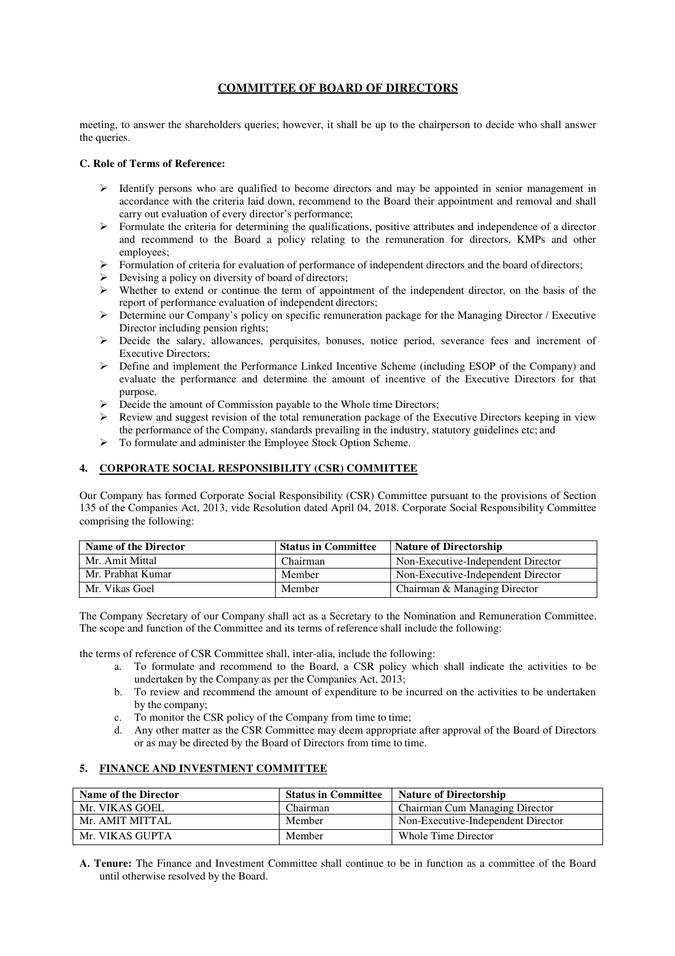meeting, to answer the shareholders queries; however, it shall be up to the chairperson to decide who shall answer the queries.

#### **C. Role of Terms of Reference:**

- $\triangleright$  Identify persons who are qualified to become directors and may be appointed in senior management in accordance with the criteria laid down, recommend to the Board their appointment and removal and shall carry out evaluation of every director's performance;
- $\triangleright$  Formulate the criteria for determining the qualifications, positive attributes and independence of a director and recommend to the Board a policy relating to the remuneration for directors, KMPs and other employees;
- $\triangleright$  Formulation of criteria for evaluation of performance of independent directors and the board of directors;
- $\triangleright$  Devising a policy on diversity of board of directors;
- Whether to extend or continue the term of appointment of the independent director, on the basis of the report of performance evaluation of independent directors;
- $\triangleright$  Determine our Company's policy on specific remuneration package for the Managing Director / Executive Director including pension rights;
- Decide the salary, allowances, perquisites, bonuses, notice period, severance fees and increment of Executive Directors;
- $\triangleright$  Define and implement the Performance Linked Incentive Scheme (including ESOP of the Company) and evaluate the performance and determine the amount of incentive of the Executive Directors for that purpose.
- $\triangleright$  Decide the amount of Commission payable to the Whole time Directors;
- $\triangleright$  Review and suggest revision of the total remuneration package of the Executive Directors keeping in view the performance of the Company, standards prevailing in the industry, statutory guidelines etc; and
- $\triangleright$  To formulate and administer the Employee Stock Option Scheme.

### **4. CORPORATE SOCIAL RESPONSIBILITY (CSR) COMMITTEE**

Our Company has formed Corporate Social Responsibility (CSR) Committee pursuant to the provisions of Section 135 of the Companies Act, 2013, vide Resolution dated April 04, 2018. Corporate Social Responsibility Committee comprising the following:

| <b>Name of the Director</b> | <b>Status in Committee</b> | <b>Nature of Directorship</b>      |
|-----------------------------|----------------------------|------------------------------------|
| Mr. Amit Mittal             | Chairman                   | Non-Executive-Independent Director |
| Mr. Prabhat Kumar           | Member                     | Non-Executive-Independent Director |
| Mr. Vikas Goel              | Member                     | Chairman & Managing Director       |

The Company Secretary of our Company shall act as a Secretary to the Nomination and Remuneration Committee. The scope and function of the Committee and its terms of reference shall include the following:

the terms of reference of CSR Committee shall, inter-alia, include the following:

- a. To formulate and recommend to the Board, a CSR policy which shall indicate the activities to be undertaken by the Company as per the Companies Act, 2013;
- b. To review and recommend the amount of expenditure to be incurred on the activities to be undertaken by the company;
- c. To monitor the CSR policy of the Company from time to time;
- d. Any other matter as the CSR Committee may deem appropriate after approval of the Board of Directors or as may be directed by the Board of Directors from time to time.

### **5. FINANCE AND INVESTMENT COMMITTEE**

| <b>Name of the Director</b> | <b>Status in Committee</b> | <b>Nature of Directorship</b>      |
|-----------------------------|----------------------------|------------------------------------|
| Mr. VIKAS GOEL              | Chairman                   | Chairman Cum Managing Director     |
| Mr. AMIT MITTAL             | Member                     | Non-Executive-Independent Director |
| Mr. VIKAS GUPTA             | Member                     | Whole Time Director                |

**A. Tenure:** The Finance and Investment Committee shall continue to be in function as a committee of the Board until otherwise resolved by the Board.